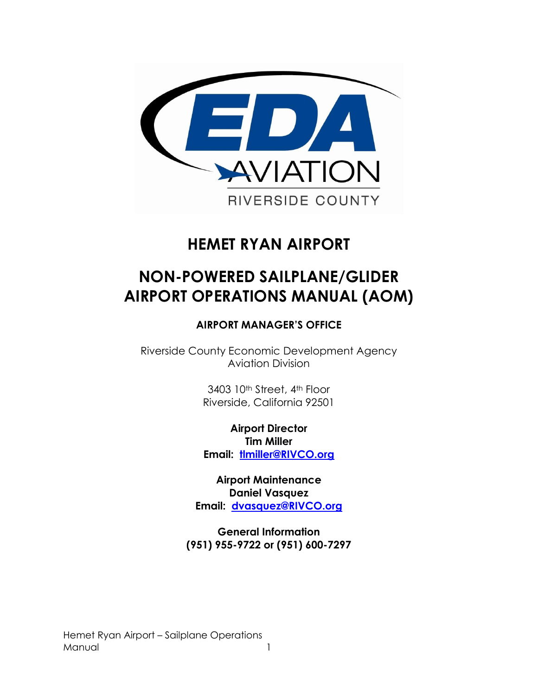

# **HEMET RYAN AIRPORT**

# **NON-POWERED SAILPLANE/GLIDER AIRPORT OPERATIONS MANUAL (AOM)**

### **AIRPORT MANAGER'S OFFICE**

Riverside County Economic Development Agency Aviation Division

> 3403 10th Street, 4th Floor Riverside, California 92501

**Airport Director Tim Miller Email: [tlmiller@RIVCO.org](mailto:tlmiller@RIVCO.org)**

**Airport Maintenance Daniel Vasquez Email: [dvasquez@RIVCO.org](mailto:dvasquez@RIVCO.org)**

**General Information (951) 955-9722 or (951) 600-7297** 

Hemet Ryan Airport – Sailplane Operations Manual 1996 and 1997 and 1997 and 1997 and 1997 and 1997 and 1997 and 1997 and 1997 and 1997 and 1997 and 1997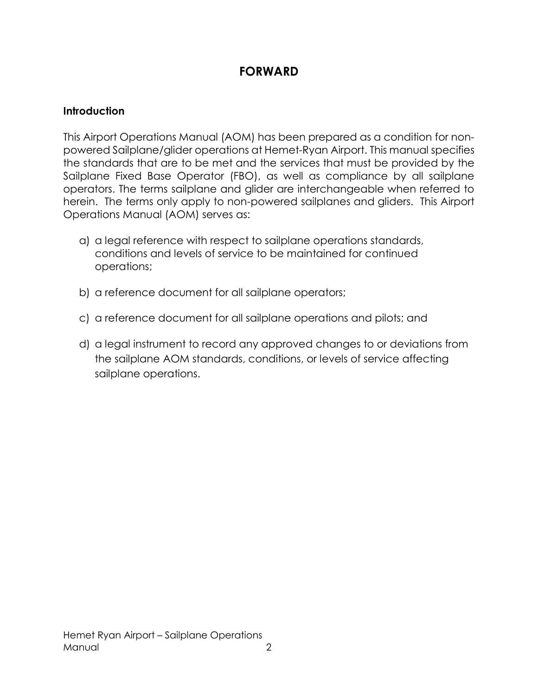# **FORWARD**

#### **Introduction**

This Airport Operations Manual (AOM) has been prepared as a condition for nonpowered Sailplane/glider operations at Hemet-Ryan Airport. This manual specifies the standards that are to be met and the services that must be provided by the Sailplane Fixed Base Operator (FBO), as well as compliance by all sailplane operators. The terms sailplane and glider are interchangeable when referred to herein. The terms only apply to non-powered sailplanes and gliders. This Airport Operations Manual (AOM) serves as:

- a) a legal reference with respect to sailplane operations standards, conditions and levels of service to be maintained for continued operations;
- b) a reference document for all sailplane operators;
- c) a reference document for all sailplane operations and pilots; and
- d) a legal instrument to record any approved changes to or deviations from the sailplane AOM standards, conditions, or levels of service affecting sailplane operations.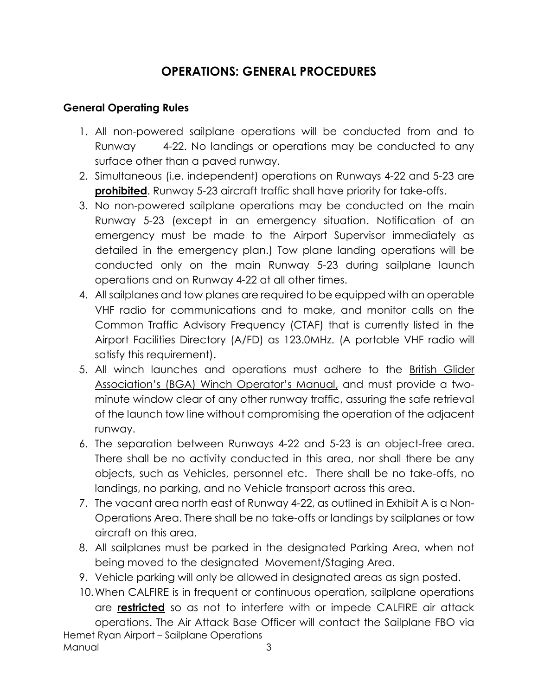## **OPERATIONS: GENERAL PROCEDURES**

#### **General Operating Rules**

- 1. All non-powered sailplane operations will be conducted from and to Runway 4-22. No landings or operations may be conducted to any surface other than a paved runway.
- 2. Simultaneous (i.e. independent) operations on Runways 4-22 and 5-23 are **prohibited**. Runway 5-23 aircraft traffic shall have priority for take-offs.
- 3. No non-powered sailplane operations may be conducted on the main Runway 5-23 (except in an emergency situation. Notification of an emergency must be made to the Airport Supervisor immediately as detailed in the emergency plan.) Tow plane landing operations will be conducted only on the main Runway 5-23 during sailplane launch operations and on Runway 4-22 at all other times.
- 4. All sailplanes and tow planes are required to be equipped with an operable VHF radio for communications and to make, and monitor calls on the Common Traffic Advisory Frequency (CTAF) that is currently listed in the Airport Facilities Directory (A/FD) as 123.0MHz. (A portable VHF radio will satisfy this requirement).
- 5. All winch launches and operations must adhere to the British Glider Association's (BGA) Winch Operator's Manual, and must provide a twominute window clear of any other runway traffic, assuring the safe retrieval of the launch tow line without compromising the operation of the adjacent runway.
- 6. The separation between Runways 4-22 and 5-23 is an object-free area. There shall be no activity conducted in this area, nor shall there be any objects, such as Vehicles, personnel etc. There shall be no take-offs, no landings, no parking, and no Vehicle transport across this area.
- 7. The vacant area north east of Runway 4-22, as outlined in Exhibit A is a Non-Operations Area. There shall be no take-offs or landings by sailplanes or tow aircraft on this area.
- 8. All sailplanes must be parked in the designated Parking Area, when not being moved to the designated Movement/Staging Area.
- 9. Vehicle parking will only be allowed in designated areas as sign posted.
- Hemet Ryan Airport Sailplane Operations Manual 3 10.When CALFIRE is in frequent or continuous operation, sailplane operations are **restricted** so as not to interfere with or impede CALFIRE air attack operations. The Air Attack Base Officer will contact the Sailplane FBO via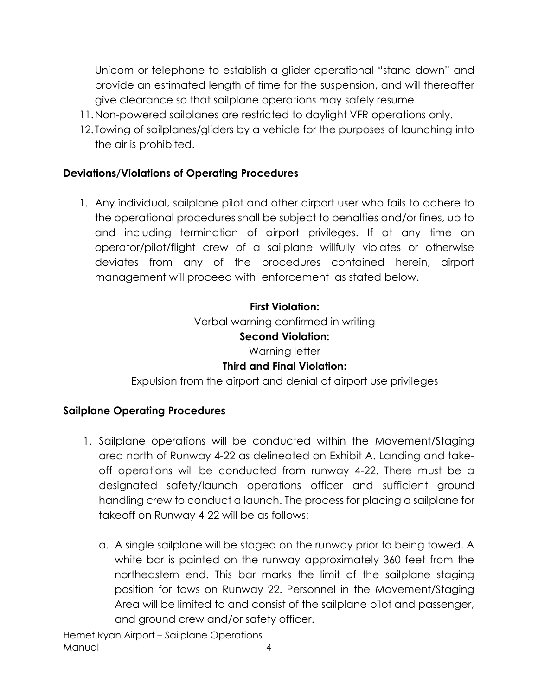Unicom or telephone to establish a glider operational "stand down" and provide an estimated length of time for the suspension, and will thereafter give clearance so that sailplane operations may safely resume.

- 11.Non-powered sailplanes are restricted to daylight VFR operations only.
- 12. Towing of sailplanes/gliders by a vehicle for the purposes of launching into the air is prohibited.

#### **Deviations/Violations of Operating Procedures**

1. Any individual, sailplane pilot and other airport user who fails to adhere to the operational procedures shall be subject to penalties and/or fines, up to and including termination of airport privileges. If at any time an operator/pilot/flight crew of a sailplane willfully violates or otherwise deviates from any of the procedures contained herein, airport management will proceed with enforcement as stated below.

# **First Violation:** Verbal warning confirmed in writing **Second Violation:** Warning letter **Third and Final Violation:**

Expulsion from the airport and denial of airport use privileges

### **Sailplane Operating Procedures**

- 1. Sailplane operations will be conducted within the Movement/Staging area north of Runway 4-22 as delineated on Exhibit A. Landing and takeoff operations will be conducted from runway 4-22. There must be a designated safety/launch operations officer and sufficient ground handling crew to conduct a launch. The process for placing a sailplane for takeoff on Runway 4-22 will be as follows:
	- a. A single sailplane will be staged on the runway prior to being towed. A white bar is painted on the runway approximately 360 feet from the northeastern end. This bar marks the limit of the sailplane staging position for tows on Runway 22. Personnel in the Movement/Staging Area will be limited to and consist of the sailplane pilot and passenger, and ground crew and/or safety officer.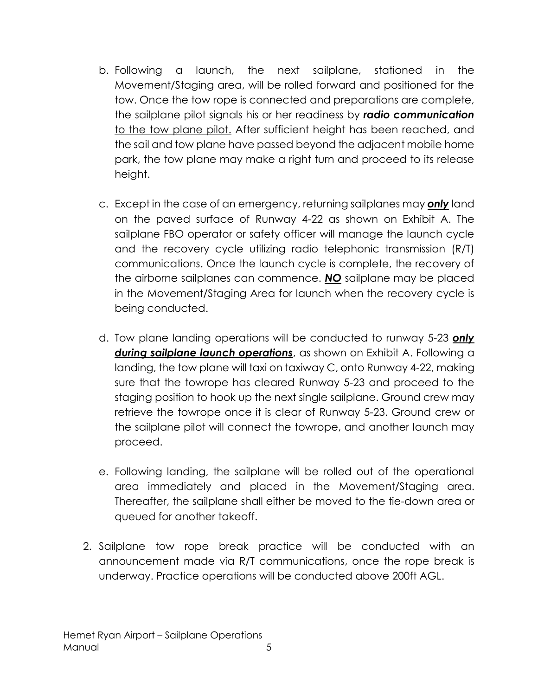- b. Following a launch, the next sailplane, stationed in the Movement/Staging area, will be rolled forward and positioned for the tow. Once the tow rope is connected and preparations are complete, the sailplane pilot signals his or her readiness by *radio communication* to the tow plane pilot. After sufficient height has been reached, and the sail and tow plane have passed beyond the adjacent mobile home park, the tow plane may make a right turn and proceed to its release height.
- c. Except in the case of an emergency, returning sailplanes may *only* land on the paved surface of Runway 4-22 as shown on Exhibit A. The sailplane FBO operator or safety officer will manage the launch cycle and the recovery cycle utilizing radio telephonic transmission (R/T) communications. Once the launch cycle is complete, the recovery of the airborne sailplanes can commence. *NO* sailplane may be placed in the Movement/Staging Area for launch when the recovery cycle is being conducted.
- d. Tow plane landing operations will be conducted to runway 5-23 *only during sailplane launch operations*, as shown on Exhibit A. Following a landing, the tow plane will taxi on taxiway C, onto Runway 4-22, making sure that the towrope has cleared Runway 5-23 and proceed to the staging position to hook up the next single sailplane. Ground crew may retrieve the towrope once it is clear of Runway 5-23. Ground crew or the sailplane pilot will connect the towrope, and another launch may proceed.
- e. Following landing, the sailplane will be rolled out of the operational area immediately and placed in the Movement/Staging area. Thereafter, the sailplane shall either be moved to the tie-down area or queued for another takeoff.
- 2. Sailplane tow rope break practice will be conducted with an announcement made via R/T communications, once the rope break is underway. Practice operations will be conducted above 200ft AGL.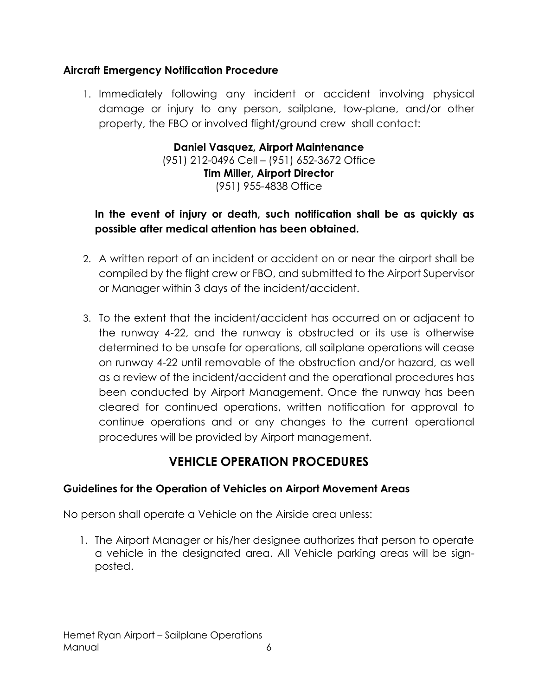#### **Aircraft Emergency Notification Procedure**

1. Immediately following any incident or accident involving physical damage or injury to any person, sailplane, tow-plane, and/or other property, the FBO or involved flight/ground crew shall contact:

> **Daniel Vasquez, Airport Maintenance** (951) 212-0496 Cell – (951) 652-3672 Office **Tim Miller, Airport Director** (951) 955-4838 Office

### **In the event of injury or death, such notification shall be as quickly as possible after medical attention has been obtained.**

- 2. A written report of an incident or accident on or near the airport shall be compiled by the flight crew or FBO, and submitted to the Airport Supervisor or Manager within 3 days of the incident/accident.
- 3. To the extent that the incident/accident has occurred on or adjacent to the runway 4-22, and the runway is obstructed or its use is otherwise determined to be unsafe for operations, all sailplane operations will cease on runway 4-22 until removable of the obstruction and/or hazard, as well as a review of the incident/accident and the operational procedures has been conducted by Airport Management. Once the runway has been cleared for continued operations, written notification for approval to continue operations and or any changes to the current operational procedures will be provided by Airport management.

# **VEHICLE OPERATION PROCEDURES**

#### **Guidelines for the Operation of Vehicles on Airport Movement Areas**

No person shall operate a Vehicle on the Airside area unless:

1. The Airport Manager or his/her designee authorizes that person to operate a vehicle in the designated area. All Vehicle parking areas will be signposted.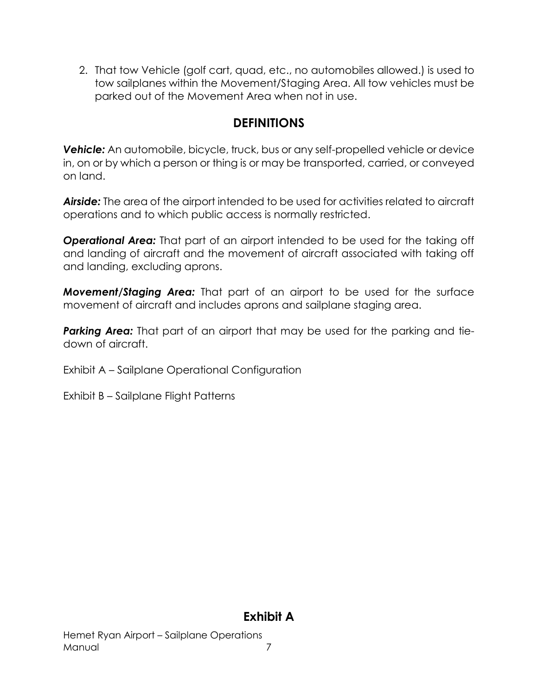2. That tow Vehicle (golf cart, quad, etc., no automobiles allowed.) is used to tow sailplanes within the Movement/Staging Area. All tow vehicles must be parked out of the Movement Area when not in use.

## **DEFINITIONS**

**Vehicle:** An automobile, bicycle, truck, bus or any self-propelled vehicle or device in, on or by which a person or thing is or may be transported, carried, or conveyed on land.

*Airside:* The area of the airport intended to be used for activities related to aircraft operations and to which public access is normally restricted.

*Operational Area:* That part of an airport intended to be used for the taking off and landing of aircraft and the movement of aircraft associated with taking off and landing, excluding aprons.

*Movement/Staging Area:* That part of an airport to be used for the surface movement of aircraft and includes aprons and sailplane staging area.

*Parking Area:* That part of an airport that may be used for the parking and tiedown of aircraft.

- Exhibit A Sailplane Operational Configuration
- Exhibit B Sailplane Flight Patterns

### **Exhibit A**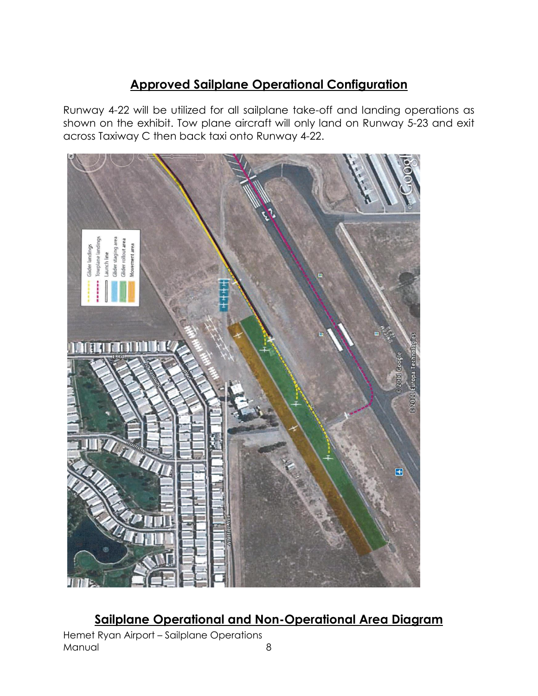# **Approved Sailplane Operational Configuration**

Runway 4-22 will be utilized for all sailplane take-off and landing operations as shown on the exhibit. Tow plane aircraft will only land on Runway 5-23 and exit across Taxiway C then back taxi onto Runway 4-22.



**Sailplane Operational and Non-Operational Area Diagram**

Hemet Ryan Airport – Sailplane Operations Manual 8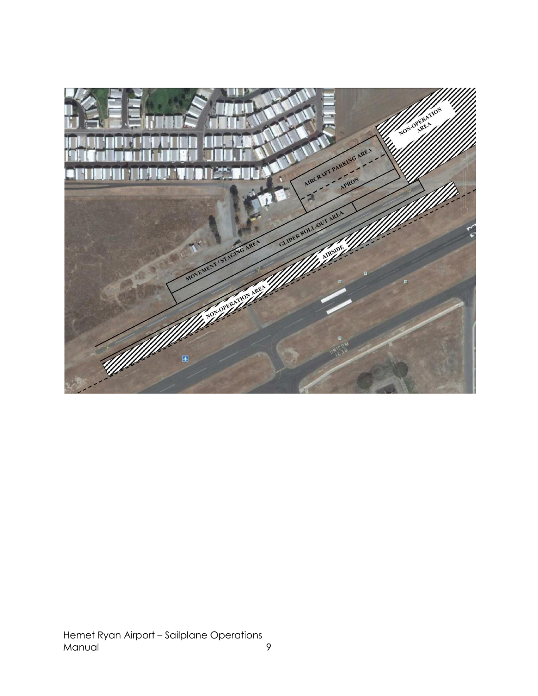

Hemet Ryan Airport – Sailplane Operations Manual